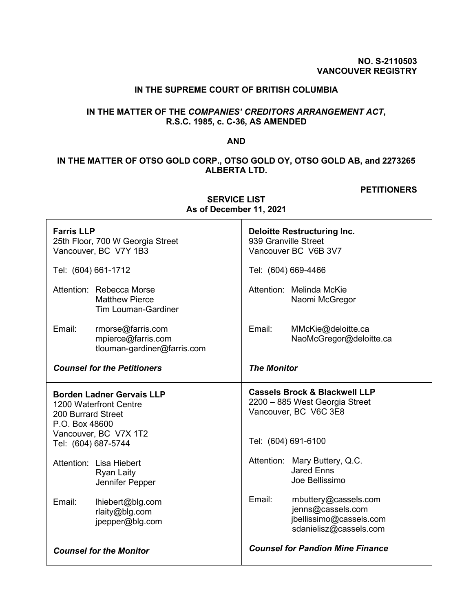### **NO. S-2110503 VANCOUVER REGISTRY**

## **IN THE SUPREME COURT OF BRITISH COLUMBIA**

# **IN THE MATTER OF THE** *COMPANIES' CREDITORS ARRANGEMENT ACT***, R.S.C. 1985, c. C-36, AS AMENDED**

### **AND**

# **IN THE MATTER OF OTSO GOLD CORP., OTSO GOLD OY, OTSO GOLD AB, and 2273265 ALBERTA LTD.**

#### **PETITIONERS**

| <b>Farris LLP</b><br>25th Floor, 700 W Georgia Street<br>Vancouver, BC V7Y 1B3                                                                     | <b>Deloitte Restructuring Inc.</b><br>939 Granville Street<br>Vancouver BC V6B 3V7                                         |  |
|----------------------------------------------------------------------------------------------------------------------------------------------------|----------------------------------------------------------------------------------------------------------------------------|--|
| Tel: (604) 661-1712                                                                                                                                | Tel: (604) 669-4466                                                                                                        |  |
| Attention: Rebecca Morse<br><b>Matthew Pierce</b><br><b>Tim Louman-Gardiner</b>                                                                    | Attention: Melinda McKie<br>Naomi McGregor                                                                                 |  |
| Email:<br>rmorse@farris.com<br>mpierce@farris.com<br>tlouman-gardiner@farris.com                                                                   | Email:<br>MMcKie@deloitte.ca<br>NaoMcGregor@deloitte.ca                                                                    |  |
| <b>Counsel for the Petitioners</b>                                                                                                                 | <b>The Monitor</b>                                                                                                         |  |
| <b>Borden Ladner Gervais LLP</b><br>1200 Waterfront Centre<br>200 Burrard Street<br>P.O. Box 48600<br>Vancouver, BC V7X 1T2<br>Tel: (604) 687-5744 | <b>Cassels Brock &amp; Blackwell LLP</b><br>2200 - 885 West Georgia Street<br>Vancouver, BC V6C 3E8<br>Tel: (604) 691-6100 |  |
| Attention: Lisa Hiebert<br><b>Ryan Laity</b><br>Jennifer Pepper                                                                                    | Attention: Mary Buttery, Q.C.<br><b>Jared Enns</b><br>Joe Bellissimo                                                       |  |
| Email:<br>lhiebert@blg.com<br>rlaity@blg.com<br>jpepper@blg.com                                                                                    | Email:<br>mbuttery@cassels.com<br>jenns@cassels.com<br>jbellissimo@cassels.com<br>sdanielisz@cassels.com                   |  |
| <b>Counsel for the Monitor</b>                                                                                                                     | <b>Counsel for Pandion Mine Finance</b>                                                                                    |  |

**SERVICE LIST As of December 11, 2021**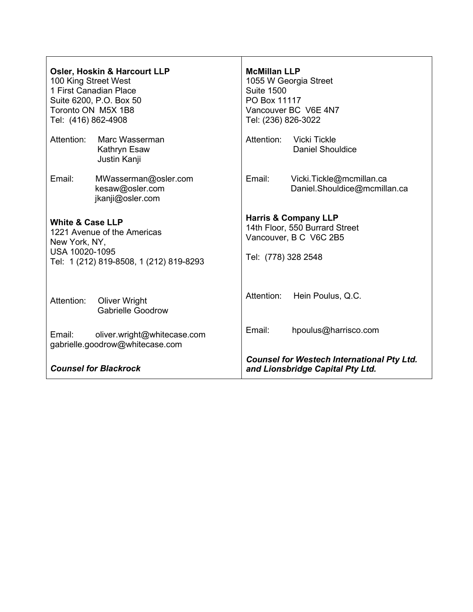| 100 King Street West<br>Tel: (416) 862-4908                                                                                              | <b>Osler, Hoskin &amp; Harcourt LLP</b><br>1 First Canadian Place<br>Suite 6200, P.O. Box 50<br>Toronto ON M5X 1B8 | <b>McMillan LLP</b><br>1055 W Georgia Street<br><b>Suite 1500</b><br>PO Box 11117<br>Vancouver BC V6E 4N7<br>Tel: (236) 826-3022 |                                                          |
|------------------------------------------------------------------------------------------------------------------------------------------|--------------------------------------------------------------------------------------------------------------------|----------------------------------------------------------------------------------------------------------------------------------|----------------------------------------------------------|
| Attention:                                                                                                                               | Marc Wasserman<br>Kathryn Esaw<br>Justin Kanji                                                                     | Attention:                                                                                                                       | <b>Vicki Tickle</b><br><b>Daniel Shouldice</b>           |
| Email:                                                                                                                                   | MWasserman@osler.com<br>kesaw@osler.com<br>jkanji@osler.com                                                        | Email:                                                                                                                           | Vicki.Tickle@mcmillan.ca<br>Daniel.Shouldice@mcmillan.ca |
| <b>White &amp; Case LLP</b><br>1221 Avenue of the Americas<br>New York, NY,<br>USA 10020-1095<br>Tel: 1 (212) 819-8508, 1 (212) 819-8293 |                                                                                                                    | <b>Harris &amp; Company LLP</b><br>14th Floor, 550 Burrard Street<br>Vancouver, B C V6C 2B5<br>Tel: (778) 328 2548               |                                                          |
| Attention:                                                                                                                               | <b>Oliver Wright</b><br><b>Gabrielle Goodrow</b>                                                                   | Attention:                                                                                                                       | Hein Poulus, Q.C.                                        |
| Email:                                                                                                                                   | oliver.wright@whitecase.com<br>gabrielle.goodrow@whitecase.com                                                     | Email:                                                                                                                           | hpoulus@harrisco.com                                     |
| <b>Counsel for Blackrock</b>                                                                                                             |                                                                                                                    | <b>Counsel for Westech International Pty Ltd.</b><br>and Lionsbridge Capital Pty Ltd.                                            |                                                          |